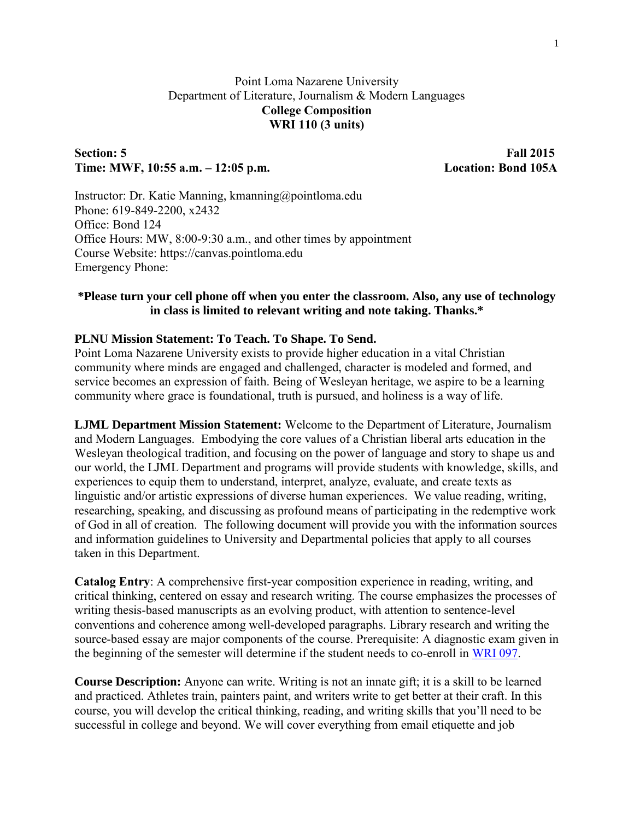## Point Loma Nazarene University Department of Literature, Journalism & Modern Languages **College Composition WRI 110 (3 units)**

## **Section: 5** Fall 2015 **Time: MWF, 10:55 a.m. – 12:05 p.m. Location: Bond 105A**

Instructor: Dr. Katie Manning, kmanning@pointloma.edu Phone: 619-849-2200, x2432 Office: Bond 124 Office Hours: MW, 8:00-9:30 a.m., and other times by appointment Course Website: https://canvas.pointloma.edu Emergency Phone:

### **\*Please turn your cell phone off when you enter the classroom. Also, any use of technology in class is limited to relevant writing and note taking. Thanks.\***

### **PLNU Mission Statement: To Teach. To Shape. To Send.**

Point Loma Nazarene University exists to provide higher education in a vital Christian community where minds are engaged and challenged, character is modeled and formed, and service becomes an expression of faith. Being of Wesleyan heritage, we aspire to be a learning community where grace is foundational, truth is pursued, and holiness is a way of life.

**LJML Department Mission Statement:** Welcome to the Department of Literature, Journalism and Modern Languages. Embodying the core values of a Christian liberal arts education in the Wesleyan theological tradition, and focusing on the power of language and story to shape us and our world, the LJML Department and programs will provide students with knowledge, skills, and experiences to equip them to understand, interpret, analyze, evaluate, and create texts as linguistic and/or artistic expressions of diverse human experiences. We value reading, writing, researching, speaking, and discussing as profound means of participating in the redemptive work of God in all of creation. The following document will provide you with the information sources and information guidelines to University and Departmental policies that apply to all courses taken in this Department.

**Catalog Entry**: A comprehensive first-year composition experience in reading, writing, and critical thinking, centered on essay and research writing. The course emphasizes the processes of writing thesis-based manuscripts as an evolving product, with attention to sentence-level conventions and coherence among well-developed paragraphs. Library research and writing the source-based essay are major components of the course. Prerequisite: A diagnostic exam given in the beginning of the semester will determine if the student needs to co-enroll in [WRI 097.](http://catalog.pointloma.edu/content.php?catoid=18&navoid=1269#tt7299)

**Course Description:** Anyone can write. Writing is not an innate gift; it is a skill to be learned and practiced. Athletes train, painters paint, and writers write to get better at their craft. In this course, you will develop the critical thinking, reading, and writing skills that you'll need to be successful in college and beyond. We will cover everything from email etiquette and job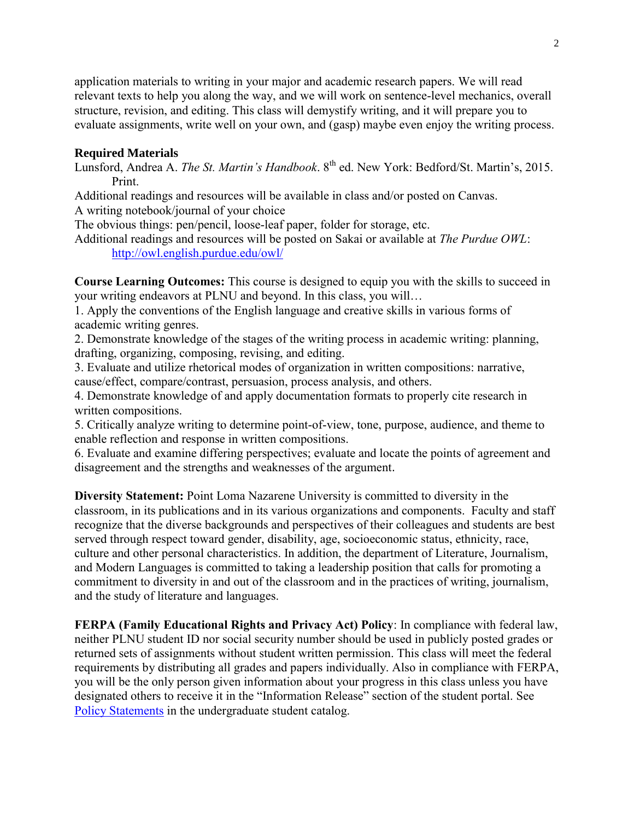application materials to writing in your major and academic research papers. We will read relevant texts to help you along the way, and we will work on sentence-level mechanics, overall structure, revision, and editing. This class will demystify writing, and it will prepare you to evaluate assignments, write well on your own, and (gasp) maybe even enjoy the writing process.

### **Required Materials**

Lunsford, Andrea A. *The St. Martin's Handbook*. 8<sup>th</sup> ed. New York: Bedford/St. Martin's, 2015. Print.

Additional readings and resources will be available in class and/or posted on Canvas. A writing notebook/journal of your choice

The obvious things: pen/pencil, loose-leaf paper, folder for storage, etc.

Additional readings and resources will be posted on Sakai or available at *The Purdue OWL*: <http://owl.english.purdue.edu/owl/>

**Course Learning Outcomes:** This course is designed to equip you with the skills to succeed in your writing endeavors at PLNU and beyond. In this class, you will…

1. Apply the conventions of the English language and creative skills in various forms of academic writing genres.

2. Demonstrate knowledge of the stages of the writing process in academic writing: planning, drafting, organizing, composing, revising, and editing.

3. Evaluate and utilize rhetorical modes of organization in written compositions: narrative, cause/effect, compare/contrast, persuasion, process analysis, and others.

4. Demonstrate knowledge of and apply documentation formats to properly cite research in written compositions.

5. Critically analyze writing to determine point-of-view, tone, purpose, audience, and theme to enable reflection and response in written compositions.

6. Evaluate and examine differing perspectives; evaluate and locate the points of agreement and disagreement and the strengths and weaknesses of the argument.

**Diversity Statement:** Point Loma Nazarene University is committed to diversity in the classroom, in its publications and in its various organizations and components. Faculty and staff recognize that the diverse backgrounds and perspectives of their colleagues and students are best served through respect toward gender, disability, age, socioeconomic status, ethnicity, race, culture and other personal characteristics. In addition, the department of Literature, Journalism, and Modern Languages is committed to taking a leadership position that calls for promoting a commitment to diversity in and out of the classroom and in the practices of writing, journalism, and the study of literature and languages.

**FERPA (Family Educational Rights and Privacy Act) Policy**: In compliance with federal law, neither PLNU student ID nor social security number should be used in publicly posted grades or returned sets of assignments without student written permission. This class will meet the federal requirements by distributing all grades and papers individually. Also in compliance with FERPA, you will be the only person given information about your progress in this class unless you have designated others to receive it in the "Information Release" section of the student portal. See [Policy Statements](http://catalog.pointloma.edu/content.php?catoid=8&navoid=864) in the undergraduate student catalog.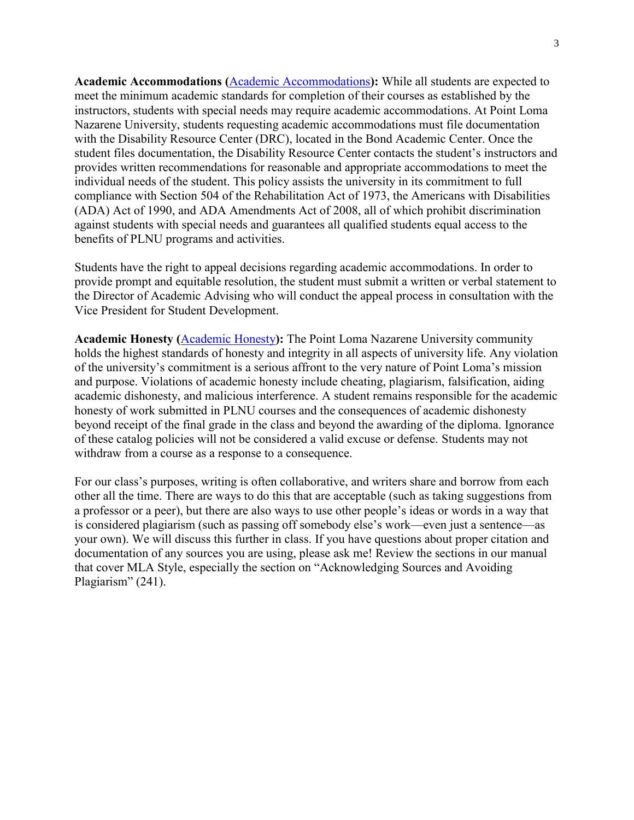**Academic Accommodations (**[Academic Accommodations](http://catalog.pointloma.edu/content.php?catoid=10&navoid=1000#Academic_Accommodations)**):** While all students are expected to meet the minimum academic standards for completion of their courses as established by the instructors, students with special needs may require academic accommodations. At Point Loma Nazarene University, students requesting academic accommodations must file documentation with the Disability Resource Center (DRC), located in the Bond Academic Center. Once the student files documentation, the Disability Resource Center contacts the student's instructors and provides written recommendations for reasonable and appropriate accommodations to meet the individual needs of the student. This policy assists the university in its commitment to full compliance with Section 504 of the Rehabilitation Act of 1973, the Americans with Disabilities (ADA) Act of 1990, and ADA Amendments Act of 2008, all of which prohibit discrimination against students with special needs and guarantees all qualified students equal access to the benefits of PLNU programs and activities.

Students have the right to appeal decisions regarding academic accommodations. In order to provide prompt and equitable resolution, the student must submit a written or verbal statement to the Director of Academic Advising who will conduct the appeal process in consultation with the Vice President for Student Development.

**Academic Honesty (**[Academic Honesty](http://catalog.pointloma.edu/content.php?catoid=10&navoid=1000#Academic_Honesty)**):** The Point Loma Nazarene University community holds the highest standards of honesty and integrity in all aspects of university life. Any violation of the university's commitment is a serious affront to the very nature of Point Loma's mission and purpose. Violations of academic honesty include cheating, plagiarism, falsification, aiding academic dishonesty, and malicious interference. A student remains responsible for the academic honesty of work submitted in PLNU courses and the consequences of academic dishonesty beyond receipt of the final grade in the class and beyond the awarding of the diploma. Ignorance of these catalog policies will not be considered a valid excuse or defense. Students may not withdraw from a course as a response to a consequence.

For our class's purposes, writing is often collaborative, and writers share and borrow from each other all the time. There are ways to do this that are acceptable (such as taking suggestions from a professor or a peer), but there are also ways to use other people's ideas or words in a way that is considered plagiarism (such as passing off somebody else's work—even just a sentence—as your own). We will discuss this further in class. If you have questions about proper citation and documentation of any sources you are using, please ask me! Review the sections in our manual that cover MLA Style, especially the section on "Acknowledging Sources and Avoiding Plagiarism" (241).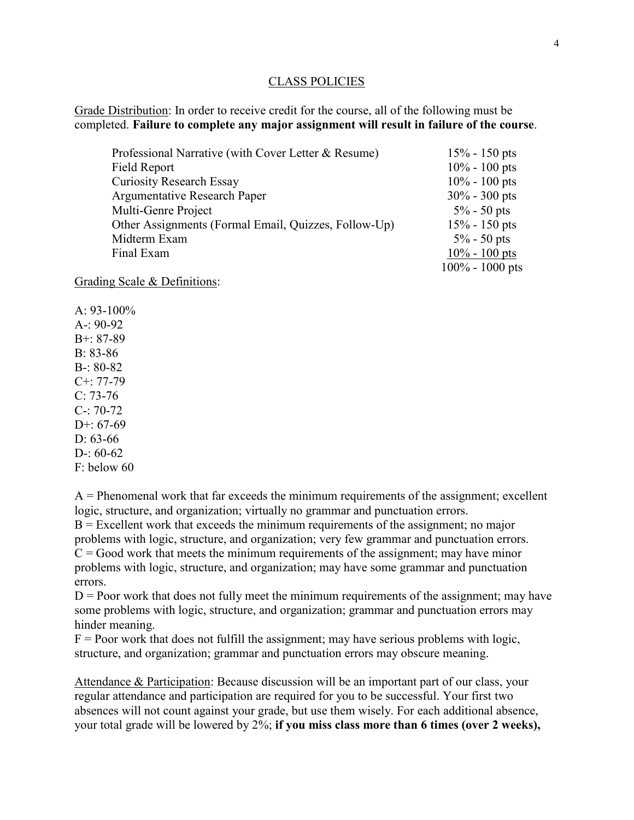#### CLASS POLICIES

Grade Distribution: In order to receive credit for the course, all of the following must be completed. **Failure to complete any major assignment will result in failure of the course**.

| Professional Narrative (with Cover Letter & Resume)  | $15% - 150$ pts    |
|------------------------------------------------------|--------------------|
| Field Report                                         | $10\% - 100$ pts   |
| <b>Curiosity Research Essay</b>                      | $10\% - 100$ pts   |
| Argumentative Research Paper                         | $30\% - 300$ pts   |
| Multi-Genre Project                                  | $5\% - 50$ pts     |
| Other Assignments (Formal Email, Quizzes, Follow-Up) | $15% - 150$ pts    |
| Midterm Exam                                         | $5\% - 50$ pts     |
| Final Exam                                           | $10\% - 100$ pts   |
|                                                      | $100\% - 1000$ pts |

Grading Scale & Definitions:

A:  $93-100\%$ A-: 90-92 B+: 87-89  $B. 83-86$ B-: 80-82 C+: 77-79  $C: 73-76$ C-: 70-72  $D+67-69$ D: 63-66  $D-60-62$ F: below 60

 $A =$  Phenomenal work that far exceeds the minimum requirements of the assignment; excellent logic, structure, and organization; virtually no grammar and punctuation errors.  $B =$  Excellent work that exceeds the minimum requirements of the assignment; no major problems with logic, structure, and organization; very few grammar and punctuation errors.  $C = Good$  work that meets the minimum requirements of the assignment; may have minor problems with logic, structure, and organization; may have some grammar and punctuation errors.

 $D =$  Poor work that does not fully meet the minimum requirements of the assignment; may have some problems with logic, structure, and organization; grammar and punctuation errors may hinder meaning.

 $F =$  Poor work that does not fulfill the assignment; may have serious problems with logic, structure, and organization; grammar and punctuation errors may obscure meaning.

Attendance & Participation: Because discussion will be an important part of our class, your regular attendance and participation are required for you to be successful. Your first two absences will not count against your grade, but use them wisely. For each additional absence, your total grade will be lowered by 2%; **if you miss class more than 6 times (over 2 weeks),**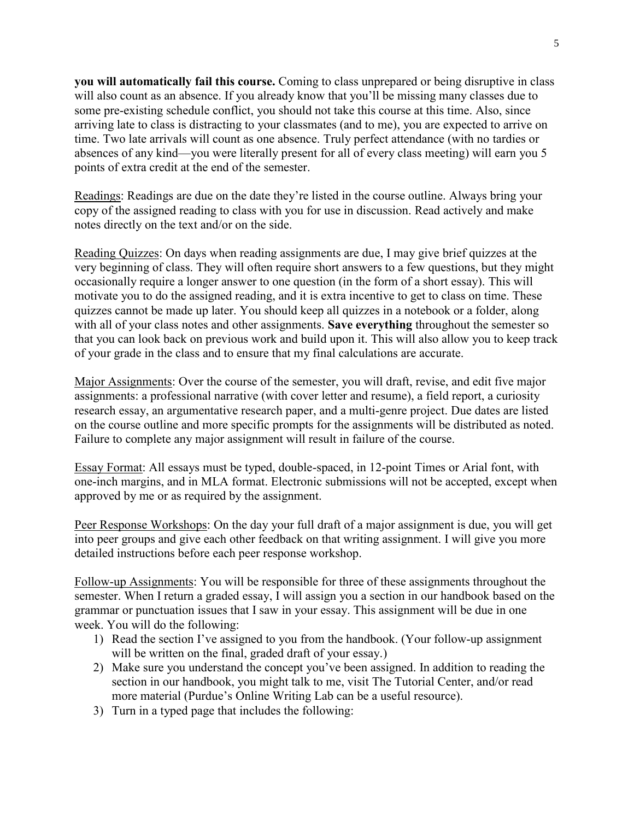**you will automatically fail this course.** Coming to class unprepared or being disruptive in class will also count as an absence. If you already know that you'll be missing many classes due to some pre-existing schedule conflict, you should not take this course at this time. Also, since arriving late to class is distracting to your classmates (and to me), you are expected to arrive on time. Two late arrivals will count as one absence. Truly perfect attendance (with no tardies or absences of any kind—you were literally present for all of every class meeting) will earn you 5 points of extra credit at the end of the semester.

Readings: Readings are due on the date they're listed in the course outline. Always bring your copy of the assigned reading to class with you for use in discussion. Read actively and make notes directly on the text and/or on the side.

Reading Quizzes: On days when reading assignments are due, I may give brief quizzes at the very beginning of class. They will often require short answers to a few questions, but they might occasionally require a longer answer to one question (in the form of a short essay). This will motivate you to do the assigned reading, and it is extra incentive to get to class on time. These quizzes cannot be made up later. You should keep all quizzes in a notebook or a folder, along with all of your class notes and other assignments. **Save everything** throughout the semester so that you can look back on previous work and build upon it. This will also allow you to keep track of your grade in the class and to ensure that my final calculations are accurate.

Major Assignments: Over the course of the semester, you will draft, revise, and edit five major assignments: a professional narrative (with cover letter and resume), a field report, a curiosity research essay, an argumentative research paper, and a multi-genre project. Due dates are listed on the course outline and more specific prompts for the assignments will be distributed as noted. Failure to complete any major assignment will result in failure of the course.

Essay Format: All essays must be typed, double-spaced, in 12-point Times or Arial font, with one-inch margins, and in MLA format. Electronic submissions will not be accepted, except when approved by me or as required by the assignment.

Peer Response Workshops: On the day your full draft of a major assignment is due, you will get into peer groups and give each other feedback on that writing assignment. I will give you more detailed instructions before each peer response workshop.

Follow-up Assignments: You will be responsible for three of these assignments throughout the semester. When I return a graded essay, I will assign you a section in our handbook based on the grammar or punctuation issues that I saw in your essay. This assignment will be due in one week. You will do the following:

- 1) Read the section I've assigned to you from the handbook. (Your follow-up assignment will be written on the final, graded draft of your essay.)
- 2) Make sure you understand the concept you've been assigned. In addition to reading the section in our handbook, you might talk to me, visit The Tutorial Center, and/or read more material (Purdue's Online Writing Lab can be a useful resource).
- 3) Turn in a typed page that includes the following: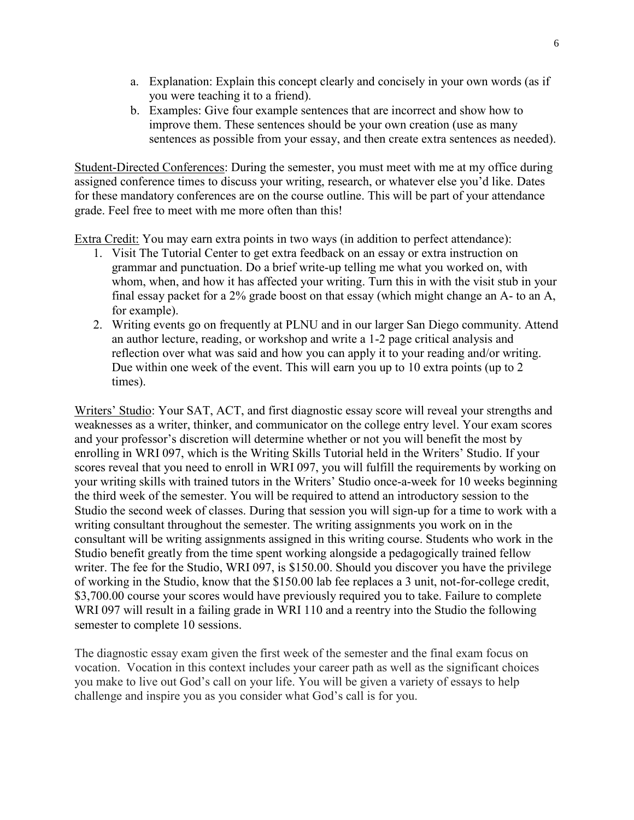- a. Explanation: Explain this concept clearly and concisely in your own words (as if you were teaching it to a friend).
- b. Examples: Give four example sentences that are incorrect and show how to improve them. These sentences should be your own creation (use as many sentences as possible from your essay, and then create extra sentences as needed).

Student-Directed Conferences: During the semester, you must meet with me at my office during assigned conference times to discuss your writing, research, or whatever else you'd like. Dates for these mandatory conferences are on the course outline. This will be part of your attendance grade. Feel free to meet with me more often than this!

Extra Credit: You may earn extra points in two ways (in addition to perfect attendance):

- 1. Visit The Tutorial Center to get extra feedback on an essay or extra instruction on grammar and punctuation. Do a brief write-up telling me what you worked on, with whom, when, and how it has affected your writing. Turn this in with the visit stub in your final essay packet for a 2% grade boost on that essay (which might change an A- to an A, for example).
- 2. Writing events go on frequently at PLNU and in our larger San Diego community. Attend an author lecture, reading, or workshop and write a 1-2 page critical analysis and reflection over what was said and how you can apply it to your reading and/or writing. Due within one week of the event. This will earn you up to 10 extra points (up to 2 times).

Writers' Studio: Your SAT, ACT, and first diagnostic essay score will reveal your strengths and weaknesses as a writer, thinker, and communicator on the college entry level. Your exam scores and your professor's discretion will determine whether or not you will benefit the most by enrolling in WRI 097, which is the Writing Skills Tutorial held in the Writers' Studio. If your scores reveal that you need to enroll in WRI 097, you will fulfill the requirements by working on your writing skills with trained tutors in the Writers' Studio once-a-week for 10 weeks beginning the third week of the semester. You will be required to attend an introductory session to the Studio the second week of classes. During that session you will sign-up for a time to work with a writing consultant throughout the semester. The writing assignments you work on in the consultant will be writing assignments assigned in this writing course. Students who work in the Studio benefit greatly from the time spent working alongside a pedagogically trained fellow writer. The fee for the Studio, WRI 097, is \$150.00. Should you discover you have the privilege of working in the Studio, know that the \$150.00 lab fee replaces a 3 unit, not-for-college credit, \$3,700.00 course your scores would have previously required you to take. Failure to complete WRI 097 will result in a failing grade in WRI 110 and a reentry into the Studio the following semester to complete 10 sessions.

The diagnostic essay exam given the first week of the semester and the final exam focus on vocation. Vocation in this context includes your career path as well as the significant choices you make to live out God's call on your life. You will be given a variety of essays to help challenge and inspire you as you consider what God's call is for you.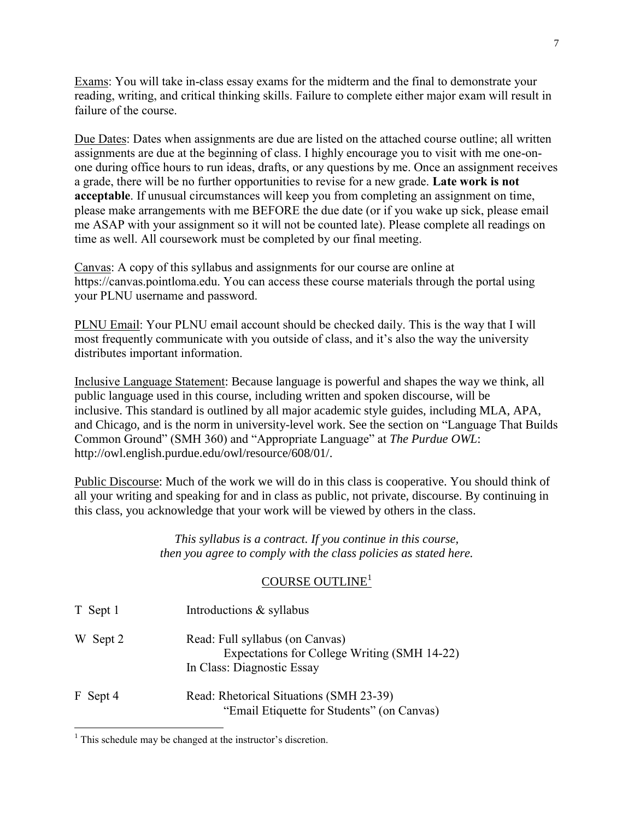Exams: You will take in-class essay exams for the midterm and the final to demonstrate your reading, writing, and critical thinking skills. Failure to complete either major exam will result in failure of the course.

Due Dates: Dates when assignments are due are listed on the attached course outline; all written assignments are due at the beginning of class. I highly encourage you to visit with me one-onone during office hours to run ideas, drafts, or any questions by me. Once an assignment receives a grade, there will be no further opportunities to revise for a new grade. **Late work is not acceptable**. If unusual circumstances will keep you from completing an assignment on time, please make arrangements with me BEFORE the due date (or if you wake up sick, please email me ASAP with your assignment so it will not be counted late). Please complete all readings on time as well. All coursework must be completed by our final meeting.

Canvas: A copy of this syllabus and assignments for our course are online at https://canvas.pointloma.edu. You can access these course materials through the portal using your PLNU username and password.

PLNU Email: Your PLNU email account should be checked daily. This is the way that I will most frequently communicate with you outside of class, and it's also the way the university distributes important information.

Inclusive Language Statement: Because language is powerful and shapes the way we think, all public language used in this course, including written and spoken discourse, will be inclusive. This standard is outlined by all major academic style guides, including MLA, APA, and Chicago, and is the norm in university-level work. See the section on "Language That Builds Common Ground" (SMH 360) and "Appropriate Language" at *The Purdue OWL*: http://owl.english.purdue.edu/owl/resource/608/01/.

Public Discourse: Much of the work we will do in this class is cooperative. You should think of all your writing and speaking for and in class as public, not private, discourse. By continuing in this class, you acknowledge that your work will be viewed by others in the class.

> *This syllabus is a contract. If you continue in this course, then you agree to comply with the class policies as stated here.*

# COURSE OUTLINE<sup>1</sup>

| T Sept 1 | Introductions & syllabus                                                                                      |
|----------|---------------------------------------------------------------------------------------------------------------|
| W Sept 2 | Read: Full syllabus (on Canvas)<br>Expectations for College Writing (SMH 14-22)<br>In Class: Diagnostic Essay |
| F Sept 4 | Read: Rhetorical Situations (SMH 23-39)<br>"Email Etiquette for Students" (on Canvas)                         |

 $\overline{a}$ 

<sup>&</sup>lt;sup>1</sup> This schedule may be changed at the instructor's discretion.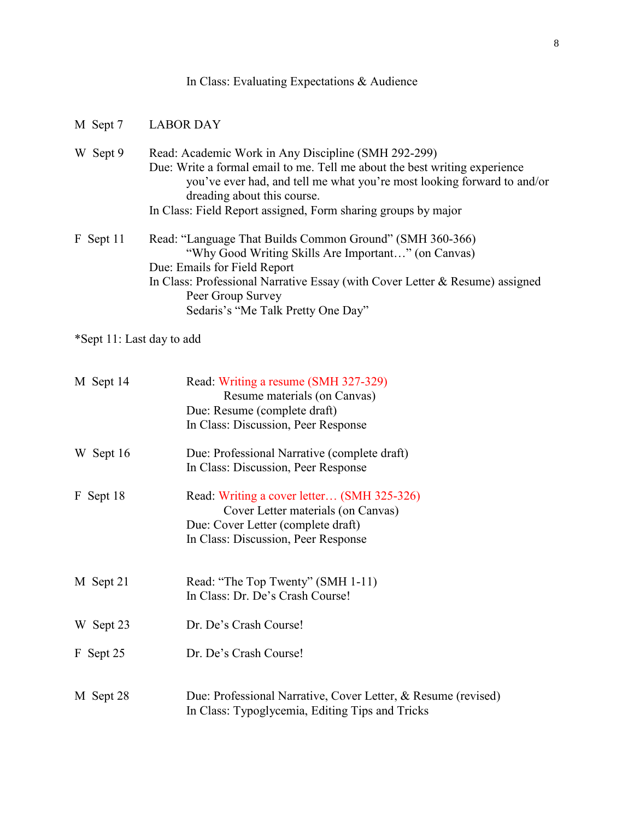|  |  |  | In Class: Evaluating Expectations & Audience |  |  |
|--|--|--|----------------------------------------------|--|--|
|--|--|--|----------------------------------------------|--|--|

| M Sept 7                  | <b>LABOR DAY</b>                                                                                                                                                                                                                                                                                             |
|---------------------------|--------------------------------------------------------------------------------------------------------------------------------------------------------------------------------------------------------------------------------------------------------------------------------------------------------------|
| W Sept 9                  | Read: Academic Work in Any Discipline (SMH 292-299)<br>Due: Write a formal email to me. Tell me about the best writing experience<br>you've ever had, and tell me what you're most looking forward to and/or<br>dreading about this course.<br>In Class: Field Report assigned, Form sharing groups by major |
| F Sept 11                 | Read: "Language That Builds Common Ground" (SMH 360-366)<br>"Why Good Writing Skills Are Important" (on Canvas)<br>Due: Emails for Field Report<br>In Class: Professional Narrative Essay (with Cover Letter & Resume) assigned<br>Peer Group Survey<br>Sedaris's "Me Talk Pretty One Day"                   |
| *Sept 11: Last day to add |                                                                                                                                                                                                                                                                                                              |
| M Sept 14                 | Read: Writing a resume (SMH 327-329)<br>Resume materials (on Canvas)<br>Due: Resume (complete draft)<br>In Class: Discussion, Peer Response                                                                                                                                                                  |
| W Sept 16                 | Due: Professional Narrative (complete draft)<br>In Class: Discussion, Peer Response                                                                                                                                                                                                                          |
| F Sept 18                 | Read: Writing a cover letter (SMH 325-326)<br>Cover Letter materials (on Canvas)<br>Due: Cover Letter (complete draft)<br>In Class: Discussion, Peer Response                                                                                                                                                |
| M Sept 21                 | Read: "The Top Twenty" (SMH 1-11)<br>In Class: Dr. De's Crash Course!                                                                                                                                                                                                                                        |
| W Sept 23                 | Dr. De's Crash Course!                                                                                                                                                                                                                                                                                       |
| F Sept 25                 | Dr. De's Crash Course!                                                                                                                                                                                                                                                                                       |
| M Sept 28                 | Due: Professional Narrative, Cover Letter, & Resume (revised)<br>In Class: Typoglycemia, Editing Tips and Tricks                                                                                                                                                                                             |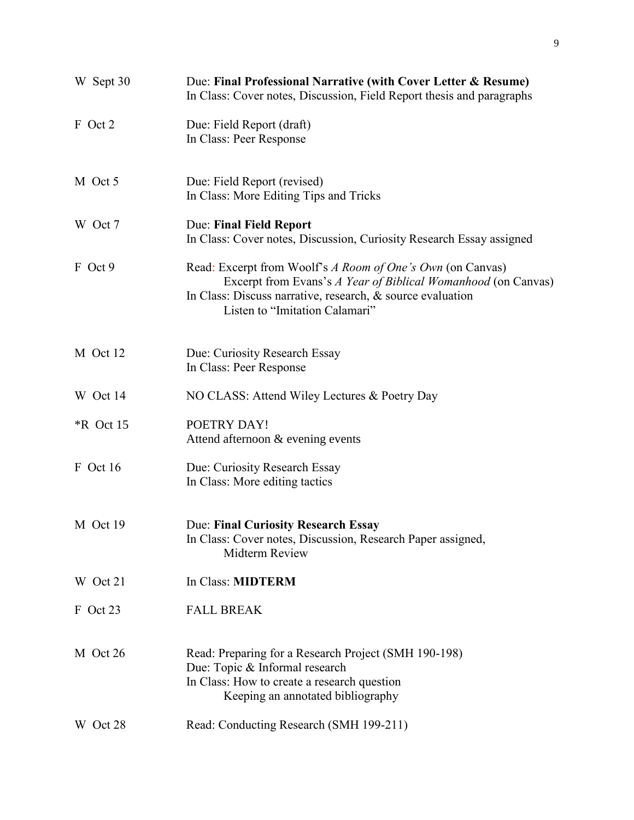| W Sept 30   | Due: Final Professional Narrative (with Cover Letter & Resume)<br>In Class: Cover notes, Discussion, Field Report thesis and paragraphs                                                                                        |
|-------------|--------------------------------------------------------------------------------------------------------------------------------------------------------------------------------------------------------------------------------|
| F Oct 2     | Due: Field Report (draft)<br>In Class: Peer Response                                                                                                                                                                           |
| M Oct 5     | Due: Field Report (revised)<br>In Class: More Editing Tips and Tricks                                                                                                                                                          |
| W Oct 7     | <b>Due: Final Field Report</b><br>In Class: Cover notes, Discussion, Curiosity Research Essay assigned                                                                                                                         |
| F Oct 9     | Read: Excerpt from Woolf's A Room of One's Own (on Canvas)<br>Excerpt from Evans's A Year of Biblical Womanhood (on Canvas)<br>In Class: Discuss narrative, research, $\&$ source evaluation<br>Listen to "Imitation Calamari" |
| M Oct 12    | Due: Curiosity Research Essay<br>In Class: Peer Response                                                                                                                                                                       |
| W Oct 14    | NO CLASS: Attend Wiley Lectures & Poetry Day                                                                                                                                                                                   |
| $*R$ Oct 15 | POETRY DAY!<br>Attend afternoon & evening events                                                                                                                                                                               |
| F Oct 16    | Due: Curiosity Research Essay<br>In Class: More editing tactics                                                                                                                                                                |
| M Oct 19    | Due: Final Curiosity Research Essay<br>In Class: Cover notes, Discussion, Research Paper assigned,<br>Midterm Review                                                                                                           |
| W Oct 21    | In Class: MIDTERM                                                                                                                                                                                                              |
| F Oct 23    | <b>FALL BREAK</b>                                                                                                                                                                                                              |
| M Oct 26    | Read: Preparing for a Research Project (SMH 190-198)<br>Due: Topic & Informal research<br>In Class: How to create a research question<br>Keeping an annotated bibliography                                                     |
| W Oct 28    | Read: Conducting Research (SMH 199-211)                                                                                                                                                                                        |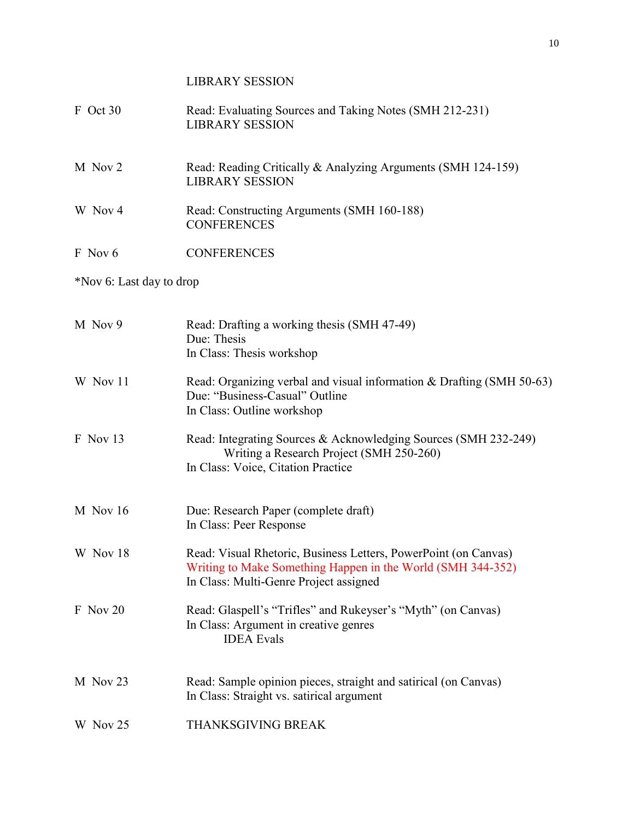LIBRARY SESSION F Oct 30 Read: Evaluating Sources and Taking Notes (SMH 212-231) LIBRARY SESSION M Nov 2 Read: Reading Critically & Analyzing Arguments (SMH 124-159) LIBRARY SESSION W Nov 4 Read: Constructing Arguments (SMH 160-188) **CONFERENCES** F Nov 6 CONFERENCES \*Nov 6: Last day to drop M Nov 9 Read: Drafting a working thesis (SMH 47-49) Due: Thesis In Class: Thesis workshop W Nov 11 Read: Organizing verbal and visual information & Drafting (SMH 50-63) Due: "Business-Casual" Outline In Class: Outline workshop F Nov 13 Read: Integrating Sources & Acknowledging Sources (SMH 232-249) Writing a Research Project (SMH 250-260) In Class: Voice, Citation Practice M Nov 16 Due: Research Paper (complete draft) In Class: Peer Response W Nov 18 Read: Visual Rhetoric, Business Letters, PowerPoint (on Canvas) Writing to Make Something Happen in the World (SMH 344-352) In Class: Multi-Genre Project assigned F Nov 20 Read: Glaspell's "Trifles" and Rukeyser's "Myth" (on Canvas) In Class: Argument in creative genres IDEA Evals M Nov 23 Read: Sample opinion pieces, straight and satirical (on Canvas) In Class: Straight vs. satirical argument W Nov 25 THANKSGIVING BREAK